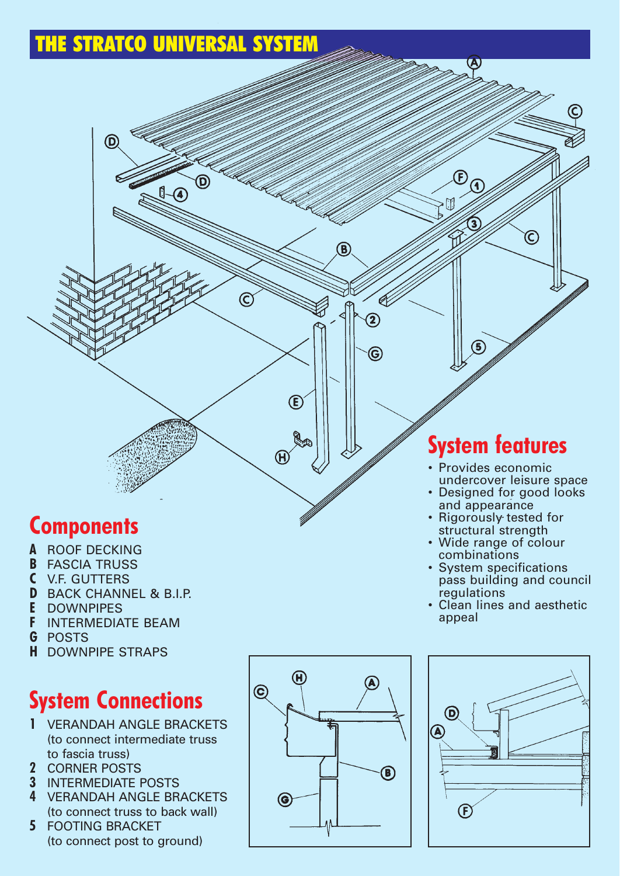## THE STRATCO UNIVERSAL SYSTEM

 $\overline{a}$ 

Ĉ

 $\mathbf{\widehat{E}}$ 

 $\circledR$ 

#### **Components**

- **A** ROOF DECKING
- **B** FASCIA TRUSS<br>**C** V.E GUTTERS
- **C** V.F. GUTTERS<br>**D** BACK CHANN
- **D** BACK CHANNEL & B.I.P.<br>**E** DOWNPIPES
- **E** DOWNPIPES
- **F** INTERMEDIATE BEAM<br>**G** POSTS
- **G** POSTS
- **DOWNPIPE STRAPS**

### **System Connections**

- **1** VERANDAH ANGLE BRACKETS (to connect intermediate truss to fascia truss)
- **2** CORNER POSTS
- **3** INTERMEDIATE POSTS
- **4** VERANDAH ANGLE BRACKETS (to connect truss to back wall)
- **5** FOOTING BRACKET (to connect post to ground)



 $\circledR$ 

2

G

#### **System features**

Ð

F

• Provides economic undercover leisure space

C

- Designed for good looks and appearance
- Rigorously tested for structural strength
- Wide range of colour combinations
- System specifications pass building and council regulations
- Clean lines and aesthetic appeal